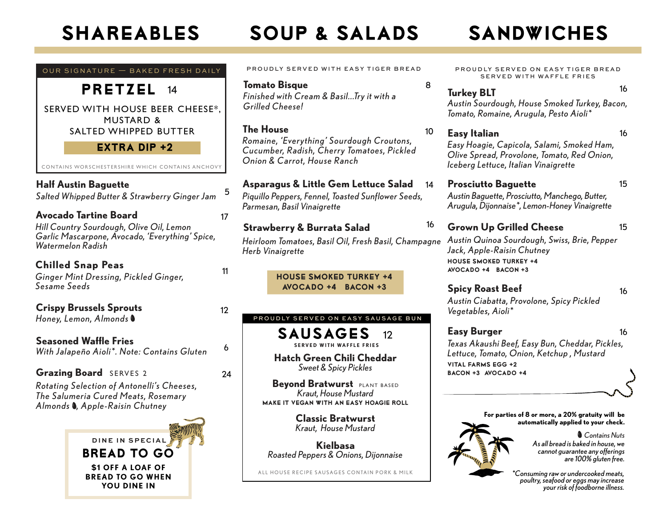**DINE IN SPECIAL**

BREAD TO GO

**\$1 OFF A LOAF OF BREAD TO GO WHEN YOU DINE IN**

# SHAREABLES SOUP & SALADS SANDWICHES

**Classic Bratwurst**  SAUSAGES 12 **Beyond Bratwurst PLANT BASED** *Kraut, House Mustard* Make It Vegan with an Easy Hoagie Roll **Hatch Green Chili Cheddar**  *Sweet & Spicy Pickles* PROUDLY SERVED ON EASY SAUSAGE BUN **Asparagus & Little Gem Lettuce Salad** *Piquillo Peppers, Fennel, Toasted Sunflower Seeds, Parmesan, Basil Vinaigrette* 14 House Smoked Turkey +4 Avocado +4 Bacon +3 <sup>16</sup> **Strawberry & Burrata Salad** *Heirloom Tomatoes, Basil Oil, Fresh Basil, Champagne Herb Vinaigrette* **Tomato Bisque** 8 *Finished with Cream & Basil...Try it with a Grilled Cheese!* **The House** *Romaine, 'Ever y thing' Sourdough Croutons, Cucumber, Radish, Cherr y Tomatoes, Pickled Onion & Carrot, House Ranch* 10 PROUDLY SERVED WITH EASY TIGER BREAD 5 6 12 24 11 OUR SIGNATURE — BAKED FRESH DAILY SERVED WITH HOUSE BEER CHEESE\*, MUSTARD & SALTED WHIPPED BUTTER PRETZEL 14  $EXTRA$  DIP  $+2$ **Half Austin Baguette**  *Salted Whipped Butter & Strawberry Ginger Jam* **Seasoned Waffle Fries** *With Jalapeño Aioli\*. Note: Contains Gluten* **Crispy Brussels Sprouts** *Honey, Lemon, Almonds Rotating Selection of Antonelli's Cheeses, The Salumeria Cured Meats, Rosemar y Almonds , Apple-Raisin Chutney* **Grazing Board** SERVES 2 **Chilled Snap Peas** *Ginger Mint Dressing, Pickled Ginger, Sesame Seeds* **Avocado Tartine Board** 17 *Hill Country Sourdough, Olive Oil, Lemon Garlic Mascarpone, Avocado, 'Everything' Spice, Watermelon Radish* **SERVED WITH WAFFLE FRIES** CONTAINS WORSCHESTERSHIRE WHICH CONTAINS ANCHOVY

> **Kielbasa**  *Roasted Peppers & Onions, Dijonnaise*

ALL HOUSE RECIPE SAUSAGES CONTAIN PORK & MILK

*Kraut, House Mustard*

PROUDLY SERVED ON EASY TIGER BREAD SERVED WITH WAFFLE FRIES

# <sup>16</sup> **Turkey BLT**

*Austin Sourdough, House Smoked Turkey, Bacon, Tomato, Romaine, Arugula, Pesto Aioli\** 

### **Easy Italian** 16

*Easy Hoagie, Capicola, Salami, Smoked Ham, Olive Spread, Provolone, Tomato, Red Onion, Iceberg Lettuce, Italian Vinaigrette*

### **Prosciutto Baguette** 15

*Austin Baguette, Prosciutto, Manchego, Butter, Arugula, Dijonnaise\*, Lemon-Honey Vinaigrette*

### **Grown Up Grilled Cheese** 15

*Austin Quinoa Sourdough, Swiss, Brie, Pepper Jack, Apple-Raisin Chutney* house smoked turkey +4 avocado +4 bacon +3

**Spicy Roast Beef** 16

*Austin Ciabatta, Provolone, Spicy Pickled Vegetables, Aioli\** 

**Easy Burger** 16 *Texas Akaushi Beef, Easy Bun, Cheddar, Pickles, Lettuce, Tomato, Onion, Ketchup , Mustard* vital farms egg +2 bacon +3 avocado +4

> **For parties of 8 or more, a 20% gratuity will be automatically applied to your check.**

> > *As all bread is baked in house, we cannot guarantee any offerings are 100% gluten free. Contains Nuts*

*\*Consuming raw or undercooked meats, poultry, seafood or eggs may increase your risk of foodborne illness.*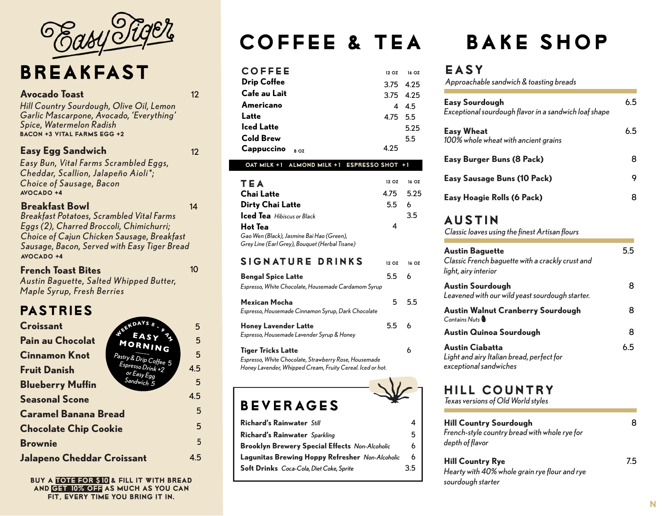

# BREAKFAST

### **Avocado Toast** 12

12

14

*Hill Country Sourdough, Olive Oil, Lemon Garlic Mascarpone, Avocado, 'Everything' Spice, Watermelon Radish* Bacon +3 Vital Farms Egg +2

### **Easy Egg Sandwich**

*Easy Bun, Vital Farms Scrambled Eggs, Cheddar, Scallion, Jalapeño Aioli\*; Choice of Sausage, Bacon*  $AVOCADO + 4$ 

### **Breakfast Bowl**

*Breakfast Potatoes, Scrambled Vital Farms Eggs (2), Charred Broccoli, Chimichurri; Choice of Cajun Chicken Sausage, Breakfast Sausage, Bacon, Served with Easy Tiger Bread* Avocado +4

### **French Toast Bites**

10

*Austin Baguette, Salted Whipped Butter, Maple Syrup, Fresh Berries*

## PASTRIES

| OLERDAY<br>5.                                                     |
|-------------------------------------------------------------------|
| <b>SY</b><br>5<br>MORNING                                         |
| 5                                                                 |
| Pastry & Drip Coffee 5<br>Espresso Drink +2<br>4.5<br>or Easy Egg |
| Sandwich 5<br>5                                                   |
| 4.5                                                               |
| 5                                                                 |
| 5                                                                 |
| 5                                                                 |
| Jalapeno Cheddar Croissant<br>4.5                                 |
|                                                                   |

BUY a TOte for \$10 & fill it with bread and get 10% off as much as you can FIT, EVERY TIME YOU BRING IT IN.

# COFFEE & TEA

| <b>COFFEE</b>      | 12 OZ     | 16 OZ        |
|--------------------|-----------|--------------|
| <b>Drip Coffee</b> | 3.75 4.25 |              |
| Cafe au Lait       | 3.75 4.25 |              |
| Americano          |           | $4\quad 4.5$ |
| Latte              | 4.75 5.5  |              |
| <b>Iced Latte</b>  |           | 5.25         |
| <b>Cold Brew</b>   |           | 5.5          |
| Cappuccino<br>8 OZ | 4 25      |              |

### oat milk +1 almond milk +1 espresso shot +1

| TEA                                            | 12 OZ     | 16 OZ |
|------------------------------------------------|-----------|-------|
| <b>Chai Latte</b>                              | 4.75 5.25 |       |
| <b>Dirty Chai Latte</b>                        | 5.5 6     |       |
| <b>Iced Tea</b> Hibiscus or Black              |           | 3.5   |
| Hot Tea                                        | 4         |       |
| Gao Wen (Black), Jasmine Bai Hao (Green),      |           |       |
| Grey Line (Earl Grey), Bouquet (Herbal Tisane) |           |       |

### SIGNATURE DRINKS 12 OZ 16 OZ

| <b>Bengal Spice Latte</b><br>Espresso, White Chocolate, Housemade Cardamom Syrup                                                                 | 5.5           |    |
|--------------------------------------------------------------------------------------------------------------------------------------------------|---------------|----|
| <b>Mexican Mocha</b><br>Espresso, Housemade Cinnamon Syrup, Dark Chocolate                                                                       | 5             | 55 |
| <b>Honey Lavender Latte</b><br>Espresso, Housemade Lavender Syrup & Honey                                                                        | $5.5^{\circ}$ |    |
| <b>Tiger Tricks Latte</b><br>Espresso, White Chocolate, Strawberry Rose, Housemade<br>Honey Lavender, Whipped Cream, Fruity Cereal. Iced or hot. |               |    |

## beverages

| <b>Richard's Rainwater Still</b>                       | Λ   |
|--------------------------------------------------------|-----|
| Richard's Rainwater Sparkling                          | 5   |
| <b>Brooklyn Brewery Special Effects Non-Alcoholic</b>  | 6   |
| <b>Lagunitas Brewing Hoppy Refresher</b> Non-Alcoholic | 6   |
| <b>Soft Drinks</b> Coca-Cola, Diet Coke, Sprite        | 3.5 |
|                                                        |     |

# BAKE SHOP

### easy

*Approachable sandwich & toasting breads*

| <b>Easy Sourdough</b><br>Exceptional sourdough flavor in a sandwich loaf shape                     | 65  |
|----------------------------------------------------------------------------------------------------|-----|
| <b>Easy Wheat</b><br>100% whole wheat with ancient grains                                          | 65  |
| Easy Burger Buns (8 Pack)                                                                          | 8   |
| <b>Easy Sausage Buns (10 Pack)</b>                                                                 | 9   |
| Easy Hoagie Rolls (6 Pack)                                                                         | 8   |
| <b>AUSTIN</b><br>Classic loaves using the finest Artisan flours                                    |     |
| <b>Austin Baguette</b><br>Classic French baguette with a crackly crust and<br>light, airy interior | 5.5 |

| <b>Austin Sourdough</b><br>Leavened with our wild yeast sourdough starter.                    | 8   |
|-----------------------------------------------------------------------------------------------|-----|
| <b>Austin Walnut Cranberry Sourdough</b><br>Contains Nuts                                     | 8   |
| Austin Quinoa Sourdough                                                                       | 8   |
| <b>Austin Ciabatta</b><br>Light and airy Italian bread, perfect for<br>exceptional sandwiches | 6.5 |

# hill country

*Texas versions of Old World styles*

| <b>Hill Country Sourdough</b><br>French-style country bread with whole rye for<br>depth of flavor | 8   |
|---------------------------------------------------------------------------------------------------|-----|
| <b>Hill Country Rye</b>                                                                           | 7.5 |

*Hearty with 40% whole grain rye flour and rye sourdough starter*